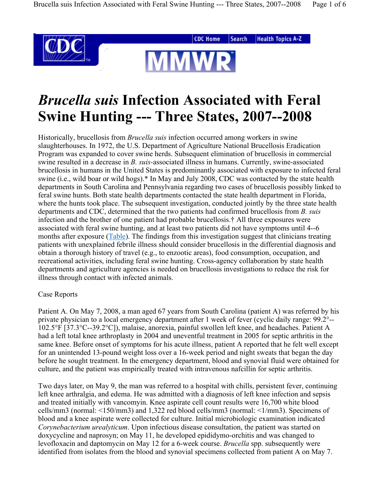

# *Brucella suis* **Infection Associated with Feral Swine Hunting --- Three States, 2007--2008**

Historically, brucellosis from *Brucella suis* infection occurred among workers in swine slaughterhouses. In 1972, the U.S. Department of Agriculture National Brucellosis Eradication Program was expanded to cover swine herds. Subsequent elimination of brucellosis in commercial swine resulted in a decrease in *B. suis-*associated illness in humans. Currently, swine-associated brucellosis in humans in the United States is predominantly associated with exposure to infected feral swine (i.e., wild boar or wild hogs).\* In May and July 2008, CDC was contacted by the state health departments in South Carolina and Pennsylvania regarding two cases of brucellosis possibly linked to feral swine hunts. Both state health departments contacted the state health department in Florida, where the hunts took place. The subsequent investigation, conducted jointly by the three state health departments and CDC, determined that the two patients had confirmed brucellosis from *B. suis* infection and the brother of one patient had probable brucellosis.† All three exposures were associated with feral swine hunting, and at least two patients did not have symptoms until 4--6 months after exposure (Table). The findings from this investigation suggest that clinicians treating patients with unexplained febrile illness should consider brucellosis in the differential diagnosis and obtain a thorough history of travel (e.g., to enzootic areas), food consumption, occupation, and recreational activities, including feral swine hunting. Cross-agency collaboration by state health departments and agriculture agencies is needed on brucellosis investigations to reduce the risk for illness through contact with infected animals.

#### Case Reports

Patient A. On May 7, 2008, a man aged 67 years from South Carolina (patient A) was referred by his private physician to a local emergency department after 1 week of fever (cyclic daily range: 99.2°-- 102.5°F [37.3°C--39.2°C]), malaise, anorexia, painful swollen left knee, and headaches. Patient A had a left total knee arthroplasty in 2004 and uneventful treatment in 2005 for septic arthritis in the same knee. Before onset of symptoms for his acute illness, patient A reported that he felt well except for an unintended 13-pound weight loss over a 16-week period and night sweats that began the day before he sought treatment. In the emergency department, blood and synovial fluid were obtained for culture, and the patient was empirically treated with intravenous nafcillin for septic arthritis.

Two days later, on May 9, the man was referred to a hospital with chills, persistent fever, continuing left knee arthralgia, and edema. He was admitted with a diagnosis of left knee infection and sepsis and treated initially with vancomyin. Knee aspirate cell count results were 16,700 white blood cells/mm3 (normal: <150/mm3) and 1,322 red blood cells/mm3 (normal: <1/mm3). Specimens of blood and a knee aspirate were collected for culture. Initial microbiologic examination indicated *Corynebacterium urealyticum*. Upon infectious disease consultation, the patient was started on doxycycline and naprosyn; on May 11, he developed epididymo-orchitis and was changed to levofloxacin and daptomycin on May 12 for a 6-week course. *Brucella* spp. subsequently were identified from isolates from the blood and synovial specimens collected from patient A on May 7.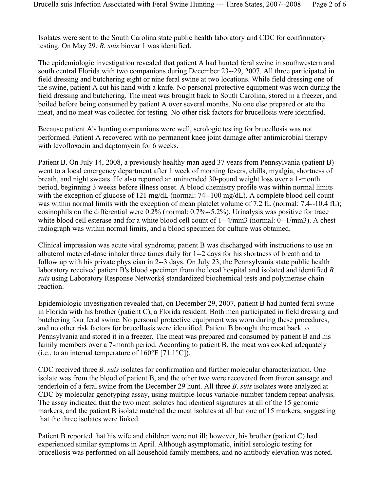Isolates were sent to the South Carolina state public health laboratory and CDC for confirmatory testing. On May 29, *B. suis* biovar 1 was identified.

The epidemiologic investigation revealed that patient A had hunted feral swine in southwestern and south central Florida with two companions during December 23--29, 2007. All three participated in field dressing and butchering eight or nine feral swine at two locations. While field dressing one of the swine, patient A cut his hand with a knife. No personal protective equipment was worn during the field dressing and butchering. The meat was brought back to South Carolina, stored in a freezer, and boiled before being consumed by patient A over several months. No one else prepared or ate the meat, and no meat was collected for testing. No other risk factors for brucellosis were identified.

Because patient A's hunting companions were well, serologic testing for brucellosis was not performed. Patient A recovered with no permanent knee joint damage after antimicrobial therapy with levofloxacin and daptomycin for 6 weeks.

Patient B. On July 14, 2008, a previously healthy man aged 37 years from Pennsylvania (patient B) went to a local emergency department after 1 week of morning fevers, chills, myalgia, shortness of breath, and night sweats. He also reported an unintended 30-pound weight loss over a 1-month period, beginning 3 weeks before illness onset. A blood chemistry profile was within normal limits with the exception of glucose of 121 mg/dL (normal: 74--100 mg/dL). A complete blood cell count was within normal limits with the exception of mean platelet volume of 7.2 fL (normal: 7.4--10.4 fL); eosinophils on the differential were 0.2% (normal: 0.7%--5.2%). Urinalysis was positive for trace white blood cell esterase and for a white blood cell count of 1--4/mm3 (normal: 0--1/mm3). A chest radiograph was within normal limits, and a blood specimen for culture was obtained.

Clinical impression was acute viral syndrome; patient B was discharged with instructions to use an albuterol metered-dose inhaler three times daily for 1--2 days for his shortness of breath and to follow up with his private physician in 2--3 days. On July 23, the Pennsylvania state public health laboratory received patient B's blood specimen from the local hospital and isolated and identified *B. suis* using Laboratory Response Network§ standardized biochemical tests and polymerase chain reaction.

Epidemiologic investigation revealed that, on December 29, 2007, patient B had hunted feral swine in Florida with his brother (patient C), a Florida resident. Both men participated in field dressing and butchering four feral swine. No personal protective equipment was worn during these procedures, and no other risk factors for brucellosis were identified. Patient B brought the meat back to Pennsylvania and stored it in a freezer. The meat was prepared and consumed by patient B and his family members over a 7-month period. According to patient B, the meat was cooked adequately (i.e., to an internal temperature of  $160^{\circ}$ F [71.1 $^{\circ}$ C]).

CDC received three *B. suis* isolates for confirmation and further molecular characterization. One isolate was from the blood of patient B, and the other two were recovered from frozen sausage and tenderloin of a feral swine from the December 29 hunt. All three *B. suis* isolates were analyzed at CDC by molecular genotyping assay, using multiple-locus variable-number tandem repeat analysis. The assay indicated that the two meat isolates had identical signatures at all of the 15 genomic markers, and the patient B isolate matched the meat isolates at all but one of 15 markers, suggesting that the three isolates were linked.

Patient B reported that his wife and children were not ill; however, his brother (patient C) had experienced similar symptoms in April. Although asymptomatic, initial serologic testing for brucellosis was performed on all household family members, and no antibody elevation was noted.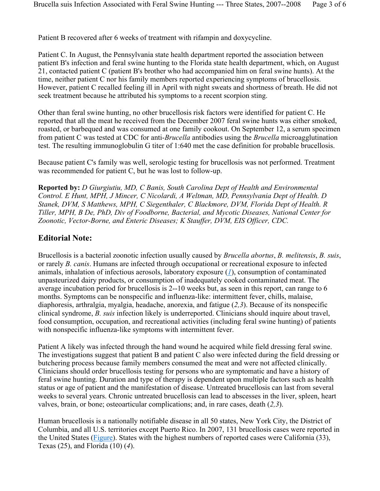Patient B recovered after 6 weeks of treatment with rifampin and doxycycline.

Patient C. In August, the Pennsylvania state health department reported the association between patient B's infection and feral swine hunting to the Florida state health department, which, on August 21, contacted patient C (patient B's brother who had accompanied him on feral swine hunts). At the time, neither patient C nor his family members reported experiencing symptoms of brucellosis. However, patient C recalled feeling ill in April with night sweats and shortness of breath. He did not seek treatment because he attributed his symptoms to a recent scorpion sting.

Other than feral swine hunting, no other brucellosis risk factors were identified for patient C. He reported that all the meat he received from the December 2007 feral swine hunts was either smoked, roasted, or barbequed and was consumed at one family cookout. On September 12, a serum specimen from patient C was tested at CDC for anti-*Brucella* antibodies using the *Brucella* microagglutination test. The resulting immunoglobulin G titer of 1:640 met the case definition for probable brucellosis.

Because patient C's family was well, serologic testing for brucellosis was not performed. Treatment was recommended for patient C, but he was lost to follow-up.

**Reported by:** *D Giurgiutiu, MD, C Banis, South Carolina Dept of Health and Environmental Control. E Hunt, MPH, J Mincer, C Nicolardi, A Weltman, MD, Pennsylvania Dept of Health. D Stanek, DVM, S Matthews, MPH, C Siegenthaler, C Blackmore, DVM, Florida Dept of Health. R Tiller, MPH, B De, PhD, Div of Foodborne, Bacterial, and Mycotic Diseases, National Center for Zoonotic, Vector-Borne, and Enteric Diseases; K Stauffer, DVM, EIS Officer, CDC.*

### **Editorial Note:**

Brucellosis is a bacterial zoonotic infection usually caused by *Brucella abortus*, *B. melitensis*, *B. suis*, or rarely *B. canis*. Humans are infected through occupational or recreational exposure to infected animals, inhalation of infectious aerosols, laboratory exposure (*1*), consumption of contaminated unpasteurized dairy products, or consumption of inadequately cooked contaminated meat. The average incubation period for brucellosis is 2--10 weeks but, as seen in this report, can range to 6 months. Symptoms can be nonspecific and influenza-like: intermittent fever, chills, malaise, diaphoresis, arthralgia, myalgia, headache, anorexia, and fatigue (*2,3*). Because of its nonspecific clinical syndrome, *B. suis* infection likely is underreported. Clinicians should inquire about travel, food consumption, occupation, and recreational activities (including feral swine hunting) of patients with nonspecific influenza-like symptoms with intermittent fever.

Patient A likely was infected through the hand wound he acquired while field dressing feral swine. The investigations suggest that patient B and patient C also were infected during the field dressing or butchering process because family members consumed the meat and were not affected clinically. Clinicians should order brucellosis testing for persons who are symptomatic and have a history of feral swine hunting. Duration and type of therapy is dependent upon multiple factors such as health status or age of patient and the manifestation of disease. Untreated brucellosis can last from several weeks to several years. Chronic untreated brucellosis can lead to abscesses in the liver, spleen, heart valves, brain, or bone; osteoarticular complications; and, in rare cases, death (*2,3*).

Human brucellosis is a nationally notifiable disease in all 50 states, New York City, the District of Columbia, and all U.S. territories except Puerto Rico. In 2007, 131 brucellosis cases were reported in the United States (Figure). States with the highest numbers of reported cases were California (33), Texas (25), and Florida (10) (*4*).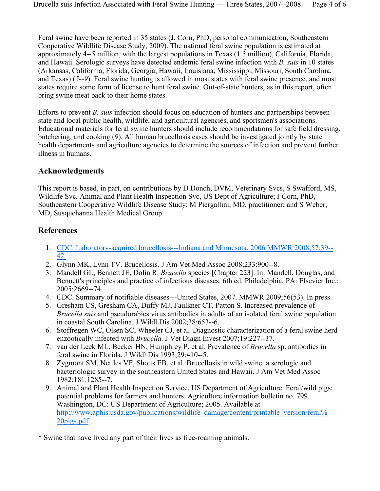Feral swine have been reported in 35 states (J. Corn, PhD, personal communication, Southeastern Cooperative Wildlife Disease Study, 2009). The national feral swine population is estimated at approximately 4--5 million, with the largest populations in Texas (1.5 million), California, Florida, and Hawaii. Serologic surveys have detected endemic feral swine infection with *B. suis* in 10 states (Arkansas, California, Florida, Georgia, Hawaii, Louisiana, Mississippi, Missouri, South Carolina, and Texas) (*5--9*). Feral swine hunting is allowed in most states with feral swine presence, and most states require some form of license to hunt feral swine. Out-of-state hunters, as in this report, often bring swine meat back to their home states.

Efforts to prevent *B. suis* infection should focus on education of hunters and partnerships between state and local public health, wildlife, and agricultural agencies, and sportsmen's associations. Educational materials for feral swine hunters should include recommendations for safe field dressing, butchering, and cooking (*9*). All human brucellosis cases should be investigated jointly by state health departments and agriculture agencies to determine the sources of infection and prevent further illness in humans.

## **Acknowledgments**

This report is based, in part, on contributions by D Donch, DVM, Veterinary Svcs, S Swafford, MS, Wildlife Svc, Animal and Plant Health Inspection Svc, US Dept of Agriculture; J Corn, PhD, Southeastern Cooperative Wildlife Disease Study; M Piergallini, MD, practitioner; and S Weber, MD, Susquehanna Health Medical Group.

## **References**

- 1. CDC. Laboratory-acquired brucellosis---Indiana and Minnesota, 2006 MMWR 2008;57:39-- 42.
- 2. Glynn MK, Lynn TV. Brucellosis. J Am Vet Med Assoc 2008;233:900--8.
- 3. Mandell GL, Bennett JE, Dolin R. *Brucella* species [Chapter 223]. In: Mandell, Douglas, and Bennett's principles and practice of infectious diseases. 6th ed. Philadelphia, PA: Elsevier Inc.; 2005:2669--74.
- 4. CDC. Summary of notifiable diseases---United States, 2007. MMWR 2009;56(53). In press.
- 5. Gresham CS, Gresham CA, Duffy MJ, Faulkner CT, Patton S. Increased prevalence of *Brucella suis* and pseudorabies virus antibodies in adults of an isolated feral swine population in coastal South Carolina. J Wildl Dis 2002;38:653--6.
- 6. Stoffregen WC, Olsen SC, Wheeler CJ, et al. Diagnostic characterization of a feral swine herd enzootically infected with *Brucella.* J Vet Diagn Invest 2007;19:227--37.
- 7. van der Leek ML, Becker HN, Humphrey P, et al. Prevalence of *Brucella* sp. antibodies in feral swine in Florida. J Wildl Dis 1993;29:410--5.
- 8. Zygmont SM, Nettles VF, Shotts EB, et al. Brucellosis in wild swine: a serologic and bacteriologic survey in the southeastern United States and Hawaii. J Am Vet Med Assoc 1982;181:1285--7.
- 9. Animal and Plant Health Inspection Service, US Department of Agriculture. Feral/wild pigs: potential problems for farmers and hunters. Agriculture information bulletin no. 799. Washington, DC: US Department of Agriculture; 2005. Available at http://www.aphis.usda.gov/publications/wildlife\_damage/content/printable\_version/feral% 20pigs.pdf.
- \* Swine that have lived any part of their lives as free-roaming animals.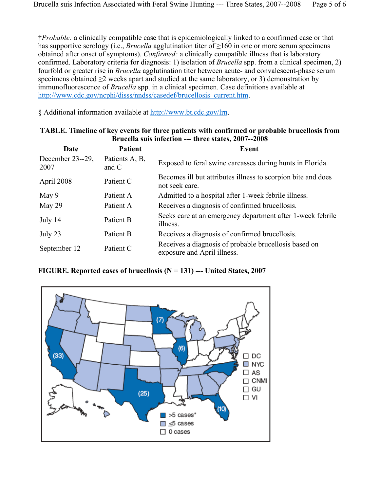†*Probable:* a clinically compatible case that is epidemiologically linked to a confirmed case or that has supportive serology (i.e., *Brucella* agglutination titer of ≥160 in one or more serum specimens obtained after onset of symptoms). *Confirmed:* a clinically compatible illness that is laboratory confirmed. Laboratory criteria for diagnosis: 1) isolation of *Brucella* spp. from a clinical specimen, 2) fourfold or greater rise in *Brucella* agglutination titer between acute- and convalescent-phase serum specimens obtained  $\geq 2$  weeks apart and studied at the same laboratory, or 3) demonstration by immunofluorescence of *Brucella* spp. in a clinical specimen. Case definitions available at http://www.cdc.gov/ncphi/disss/nndss/casedef/brucellosis\_current.htm.

§ Additional information available at http://www.bt.cdc.gov/lrn.

| DI UCCHA SUIS INICCUVII <sup>---</sup> UN CC StatCs, 2007--2000 |                           |                                                                                      |
|-----------------------------------------------------------------|---------------------------|--------------------------------------------------------------------------------------|
| Date                                                            | <b>Patient</b>            | <b>Event</b>                                                                         |
| December $23-29$ ,<br>2007                                      | Patients A, B,<br>and $C$ | Exposed to feral swine carcasses during hunts in Florida.                            |
| April 2008                                                      | Patient C                 | Becomes ill but attributes illness to scorpion bite and does<br>not seek care.       |
| May 9                                                           | Patient A                 | Admitted to a hospital after 1-week febrile illness.                                 |
| May 29                                                          | Patient A                 | Receives a diagnosis of confirmed brucellosis.                                       |
| July 14                                                         | Patient B                 | Seeks care at an emergency department after 1-week febrile<br>illness.               |
| July 23                                                         | Patient B                 | Receives a diagnosis of confirmed brucellosis.                                       |
| September 12                                                    | Patient C                 | Receives a diagnosis of probable brucellosis based on<br>exposure and April illness. |

#### **TABLE. Timeline of key events for three patients with confirmed or probable brucellosis from Brucella suis infection --- three states, 2007--2008**

#### **FIGURE. Reported cases of brucellosis (N = 131) --- United States, 2007**